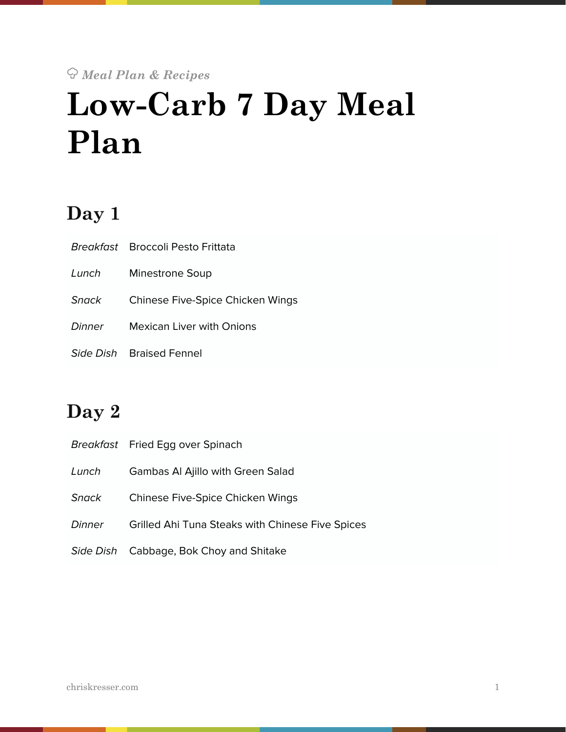# ! *Meal Plan & Recipes*  **Low-Carb 7 Day Meal Plan**

# **Day 1**

|        | Breakfast Broccoli Pesto Frittata |
|--------|-----------------------------------|
| Lunch  | Minestrone Soup                   |
| Snack  | Chinese Five-Spice Chicken Wings  |
| Dinner | <b>Mexican Liver with Onions</b>  |
|        | Side Dish Braised Fennel          |

# **Day 2**

|        | Breakfast Fried Egg over Spinach                 |
|--------|--------------------------------------------------|
| Lunch  | <b>Gambas AI Ajillo with Green Salad</b>         |
| Snack  | Chinese Five-Spice Chicken Wings                 |
| Dinner | Grilled Ahi Tuna Steaks with Chinese Five Spices |
|        | Side Dish Cabbage, Bok Choy and Shitake          |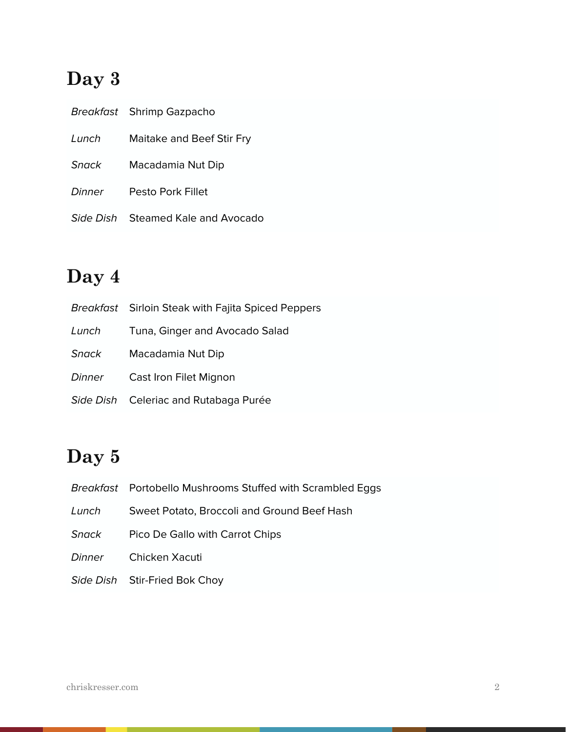# **Day 3**

|        | Breakfast Shrimp Gazpacho          |
|--------|------------------------------------|
| Lunch  | Maitake and Beef Stir Fry          |
| Snack  | Macadamia Nut Dip                  |
| Dinner | Pesto Pork Fillet                  |
|        | Side Dish Steamed Kale and Avocado |

# **Day 4**

|              | <b>Breakfast</b> Sirloin Steak with Fajita Spiced Peppers |
|--------------|-----------------------------------------------------------|
| Lunch        | Tuna, Ginger and Avocado Salad                            |
| <b>Snack</b> | Macadamia Nut Dip                                         |
| Dinner       | Cast Iron Filet Mignon                                    |
|              | Side Dish Celeriac and Rutabaga Purée                     |

# **Day 5**

|        | Breakfast Portobello Mushrooms Stuffed with Scrambled Eggs |
|--------|------------------------------------------------------------|
| Lunch  | Sweet Potato, Broccoli and Ground Beef Hash                |
| Snack  | Pico De Gallo with Carrot Chips                            |
| Dinner | Chicken Xacuti                                             |
|        | Side Dish Stir-Fried Bok Choy                              |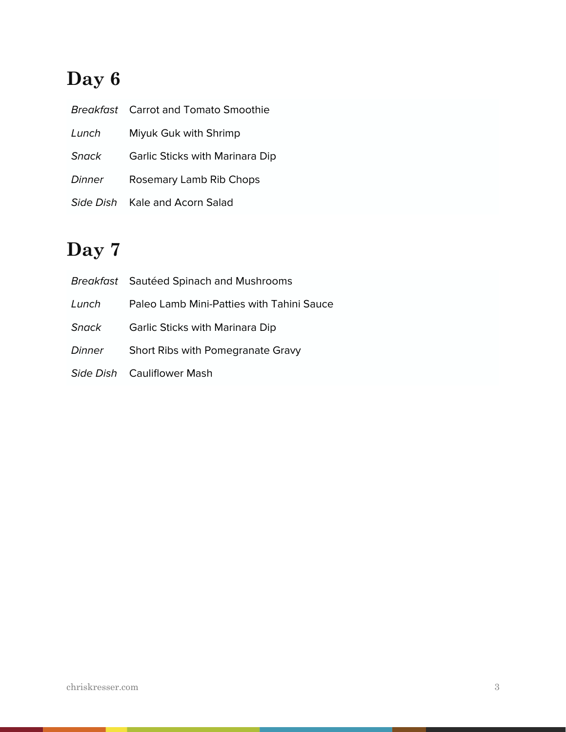# **Day 6**

|           | <b>Breakfast</b> Carrot and Tomato Smoothie |
|-----------|---------------------------------------------|
| Lunch     | Miyuk Guk with Shrimp                       |
| Snack     | Garlic Sticks with Marinara Dip             |
| Dinner    | Rosemary Lamb Rib Chops                     |
| Side Dish | Kale and Acorn Salad                        |

# **Day 7**

|        | Breakfast Sautéed Spinach and Mushrooms   |
|--------|-------------------------------------------|
| Lunch  | Paleo Lamb Mini-Patties with Tahini Sauce |
| Snack  | Garlic Sticks with Marinara Dip           |
| Dinner | Short Ribs with Pomegranate Gravy         |
|        | Side Dish Cauliflower Mash                |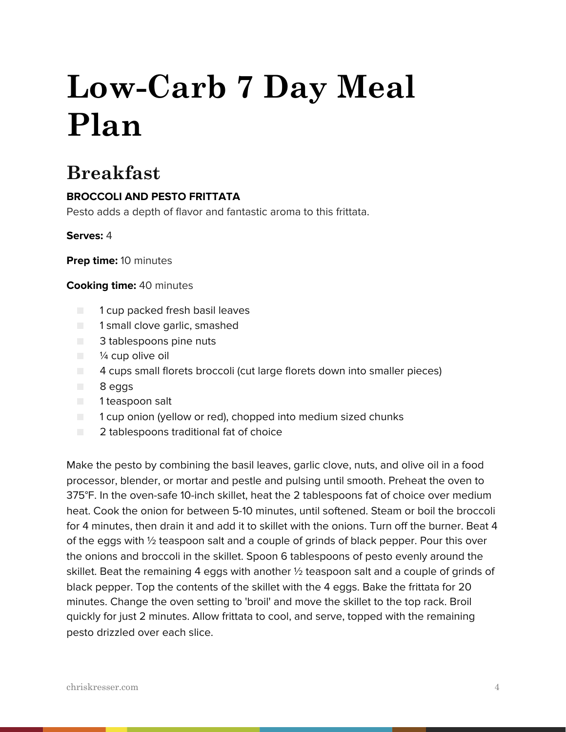# **Low-Carb 7 Day Meal Plan**

# **Breakfast**

# **BROCCOLI AND PESTO FRITTATA**

Pesto adds a depth of flavor and fantastic aroma to this frittata.

### **Serves:** 4

**Prep time:** 10 minutes

#### **Cooking time:** 40 minutes

- 1 cup packed fresh basil leaves
- 1 small clove garlic, smashed
- 3 tablespoons pine nuts
- $\blacksquare$  % cup olive oil
- 4 cups small florets broccoli (cut large florets down into smaller pieces)
- 8 eggs
- 1 teaspoon salt
- 1 cup onion (yellow or red), chopped into medium sized chunks
- 2 tablespoons traditional fat of choice

Make the pesto by combining the basil leaves, garlic clove, nuts, and olive oil in a food processor, blender, or mortar and pestle and pulsing until smooth. Preheat the oven to 375°F. In the oven-safe 10-inch skillet, heat the 2 tablespoons fat of choice over medium heat. Cook the onion for between 5-10 minutes, until softened. Steam or boil the broccoli for 4 minutes, then drain it and add it to skillet with the onions. Turn off the burner. Beat 4 of the eggs with ½ teaspoon salt and a couple of grinds of black pepper. Pour this over the onions and broccoli in the skillet. Spoon 6 tablespoons of pesto evenly around the skillet. Beat the remaining 4 eggs with another  $\frac{1}{2}$  teaspoon salt and a couple of grinds of black pepper. Top the contents of the skillet with the 4 eggs. Bake the frittata for 20 minutes. Change the oven setting to 'broil' and move the skillet to the top rack. Broil quickly for just 2 minutes. Allow frittata to cool, and serve, topped with the remaining pesto drizzled over each slice.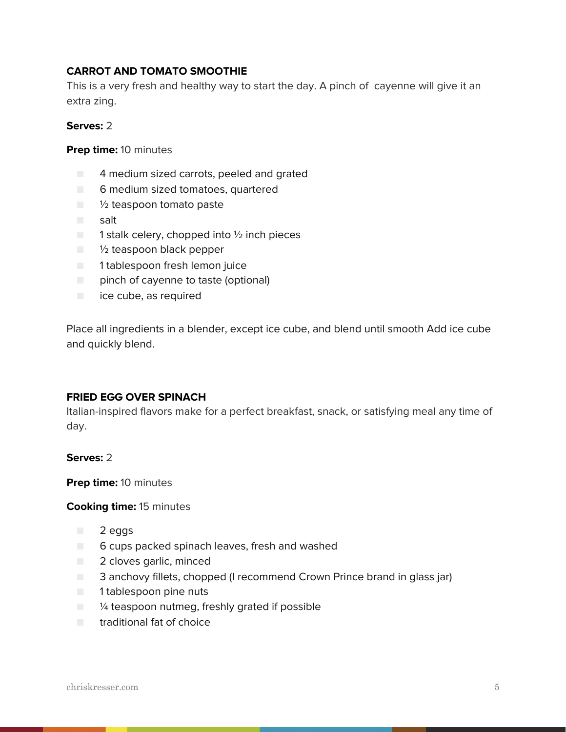### **CARROT AND TOMATO SMOOTHIE**

This is a very fresh and healthy way to start the day. A pinch of cayenne will give it an extra zing.

#### **Serves:** 2

**Prep time:** 10 minutes

- 4 medium sized carrots, peeled and grated
- 6 medium sized tomatoes, quartered
- ½ teaspoon tomato paste
- salt
- $\blacksquare$  1 stalk celery, chopped into  $\frac{1}{2}$  inch pieces
- <sup>1</sup>/<sub>2</sub> teaspoon black pepper
- 1 tablespoon fresh lemon juice
- pinch of cayenne to taste (optional)
- ice cube, as required

Place all ingredients in a blender, except ice cube, and blend until smooth Add ice cube and quickly blend.

#### **FRIED EGG OVER SPINACH**

Italian-inspired flavors make for a perfect breakfast, snack, or satisfying meal any time of day.

#### **Serves:** 2

**Prep time:** 10 minutes

#### **Cooking time:** 15 minutes

- 2 eggs
- 6 cups packed spinach leaves, fresh and washed
- 2 cloves garlic, minced
- 3 anchovy fillets, chopped (I recommend Crown Prince brand in glass jar)
- 1 tablespoon pine nuts
- $\Box$  % teaspoon nutmeg, freshly grated if possible
- traditional fat of choice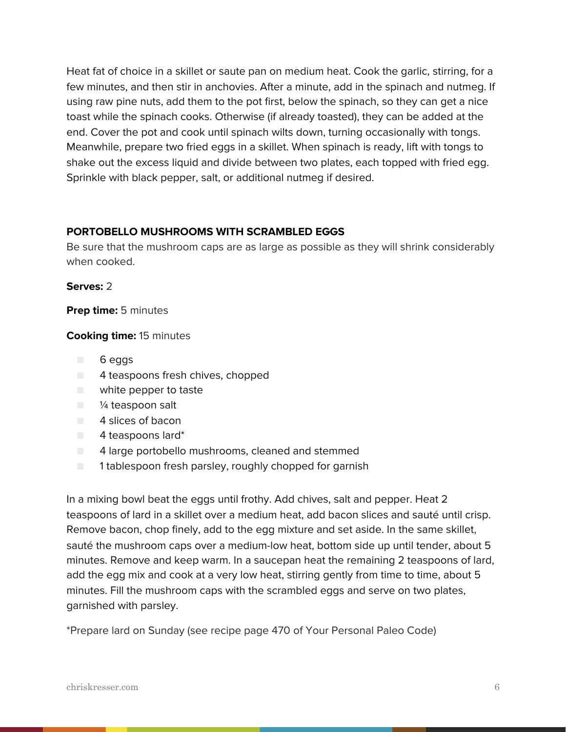Heat fat of choice in a skillet or saute pan on medium heat. Cook the garlic, stirring, for a few minutes, and then stir in anchovies. After a minute, add in the spinach and nutmeg. If using raw pine nuts, add them to the pot first, below the spinach, so they can get a nice toast while the spinach cooks. Otherwise (if already toasted), they can be added at the end. Cover the pot and cook until spinach wilts down, turning occasionally with tongs. Meanwhile, prepare two fried eggs in a skillet. When spinach is ready, lift with tongs to shake out the excess liquid and divide between two plates, each topped with fried egg. Sprinkle with black pepper, salt, or additional nutmeg if desired.

#### **PORTOBELLO MUSHROOMS WITH SCRAMBLED EGGS**

Be sure that the mushroom caps are as large as possible as they will shrink considerably when cooked.

#### **Serves:** 2

#### **Prep time:** 5 minutes

#### **Cooking time:** 15 minutes

- 6 eggs
- 4 teaspoons fresh chives, chopped
- white pepper to taste
- $\blacksquare$  /4 teaspoon salt
- 4 slices of bacon
- 4 teaspoons lard\*
- 4 large portobello mushrooms, cleaned and stemmed
- 1 tablespoon fresh parsley, roughly chopped for garnish

In a mixing bowl beat the eggs until frothy. Add chives, salt and pepper. Heat 2 teaspoons of lard in a skillet over a medium heat, add bacon slices and sauté until crisp. Remove bacon, chop finely, add to the egg mixture and set aside. In the same skillet, sauté the mushroom caps over a medium-low heat, bottom side up until tender, about 5 minutes. Remove and keep warm. In a saucepan heat the remaining 2 teaspoons of lard, add the egg mix and cook at a very low heat, stirring gently from time to time, about 5 minutes. Fill the mushroom caps with the scrambled eggs and serve on two plates, garnished with parsley.

\*Prepare lard on Sunday (see recipe page 470 of Your Personal Paleo Code)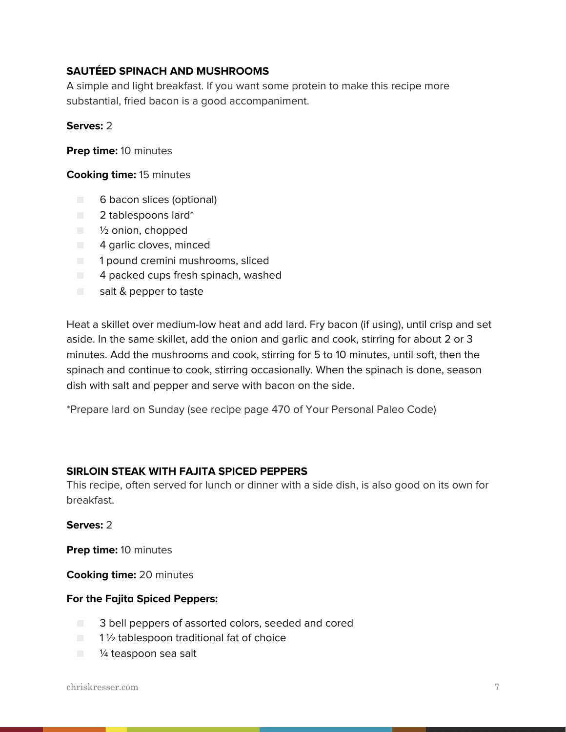### **SAUTÉED SPINACH AND MUSHROOMS**

A simple and light breakfast. If you want some protein to make this recipe more substantial, fried bacon is a good accompaniment.

#### **Serves:** 2

**Prep time:** 10 minutes

#### **Cooking time:** 15 minutes

- 6 bacon slices (optional)
- 2 tablespoons lard\*
- ½ onion, chopped
- 4 garlic cloves, minced
- 1 pound cremini mushrooms, sliced
- $\Box$  4 packed cups fresh spinach, washed
- salt & pepper to taste

Heat a skillet over medium-low heat and add lard. Fry bacon (if using), until crisp and set aside. In the same skillet, add the onion and garlic and cook, stirring for about 2 or 3 minutes. Add the mushrooms and cook, stirring for 5 to 10 minutes, until soft, then the spinach and continue to cook, stirring occasionally. When the spinach is done, season dish with salt and pepper and serve with bacon on the side.

\*Prepare lard on Sunday (see recipe page 470 of Your Personal Paleo Code)

#### **SIRLOIN STEAK WITH FAJITA SPICED PEPPERS**

This recipe, often served for lunch or dinner with a side dish, is also good on its own for breakfast.

#### **Serves:** 2

**Prep time:** 10 minutes

**Cooking time:** 20 minutes

#### **For the Fajita Spiced Peppers:**

- 3 bell peppers of assorted colors, seeded and cored
- $\blacksquare$  1 1/2 tablespoon traditional fat of choice
- <sup>1/4</sup> teaspoon sea salt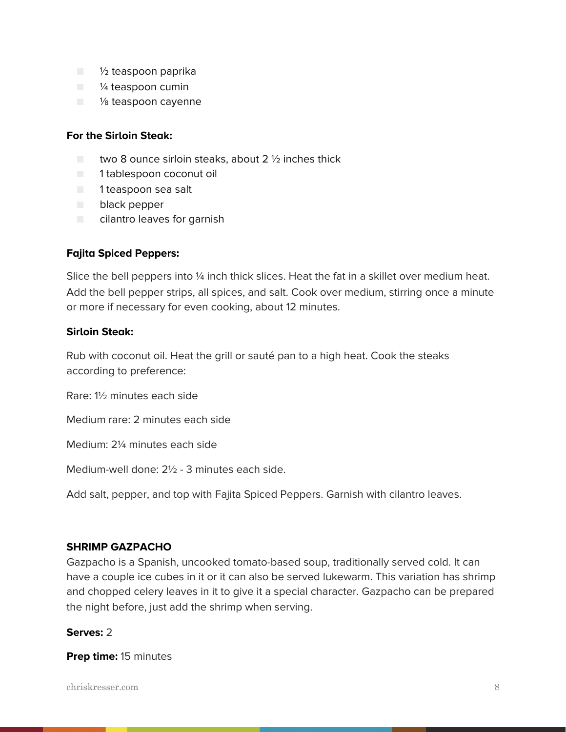- 1/2 teaspoon paprika
- $\blacksquare$  /4 teaspoon cumin
- $\blacksquare$  % teaspoon cayenne

#### **For the Sirloin Steak:**

- $\Box$  two 8 ounce sirloin steaks, about 2  $\%$  inches thick
- 1 tablespoon coconut oil
- 1 teaspoon sea salt
- black pepper
- cilantro leaves for garnish

#### **Fajita Spiced Peppers:**

Slice the bell peppers into 1/4 inch thick slices. Heat the fat in a skillet over medium heat. Add the bell pepper strips, all spices, and salt. Cook over medium, stirring once a minute or more if necessary for even cooking, about 12 minutes.

#### **Sirloin Steak:**

Rub with coconut oil. Heat the grill or sauté pan to a high heat. Cook the steaks according to preference:

Rare: 1½ minutes each side

Medium rare: 2 minutes each side

Medium: 2¼ minutes each side

Medium-well done: 2½ - 3 minutes each side.

Add salt, pepper, and top with Fajita Spiced Peppers. Garnish with cilantro leaves.

#### **SHRIMP GAZPACHO**

Gazpacho is a Spanish, uncooked tomato-based soup, traditionally served cold. It can have a couple ice cubes in it or it can also be served lukewarm. This variation has shrimp and chopped celery leaves in it to give it a special character. Gazpacho can be prepared the night before, just add the shrimp when serving.

#### **Serves:** 2

**Prep time:** 15 minutes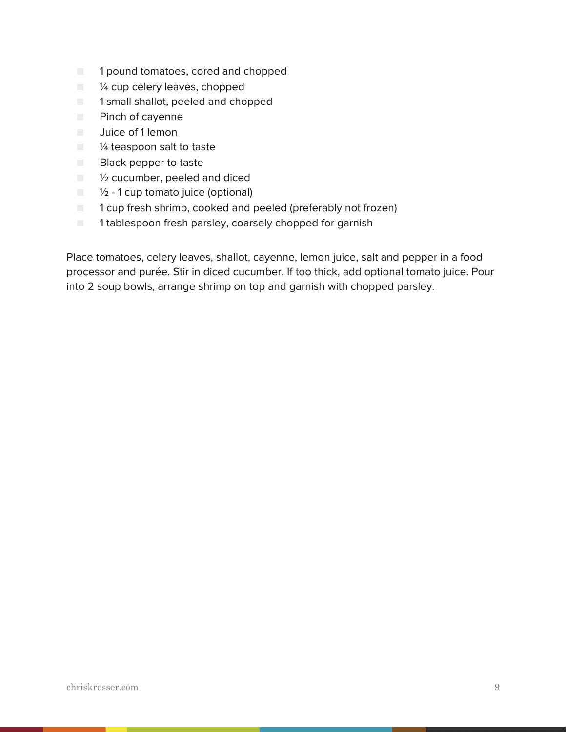- 1 pound tomatoes, cored and chopped
- $\blacksquare$   $\mathcal V_4$  cup celery leaves, chopped
- 1 small shallot, peeled and chopped
- Pinch of cayenne
- Juice of 1 lemon
- <sup>1/4</sup> teaspoon salt to taste
- Black pepper to taste
- $\blacksquare$   $\mathcal V_2$  cucumber, peeled and diced
- $\blacksquare$   $\frac{1}{2}$  1 cup tomato juice (optional)
- 1 cup fresh shrimp, cooked and peeled (preferably not frozen)
- 1 tablespoon fresh parsley, coarsely chopped for garnish

Place tomatoes, celery leaves, shallot, cayenne, lemon juice, salt and pepper in a food processor and purée. Stir in diced cucumber. If too thick, add optional tomato juice. Pour into 2 soup bowls, arrange shrimp on top and garnish with chopped parsley.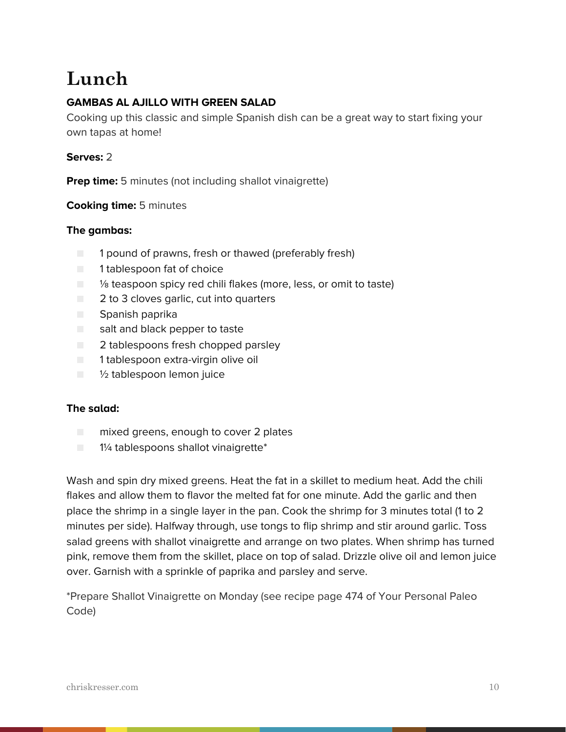# **Lunch**

# **GAMBAS AL AJILLO WITH GREEN SALAD**

Cooking up this classic and simple Spanish dish can be a great way to start fixing your own tapas at home!

### **Serves:** 2

**Prep time:** 5 minutes (not including shallot vinaigrette)

### **Cooking time:** 5 minutes

#### **The gambas:**

- 1 pound of prawns, fresh or thawed (preferably fresh)
- 1 tablespoon fat of choice
- <sup>1</sup>⁄<sub>8</sub> teaspoon spicy red chili flakes (more, less, or omit to taste)
- 2 to 3 cloves garlic, cut into quarters
- Spanish paprika
- salt and black pepper to taste
- 2 tablespoons fresh chopped parsley
- 1 tablespoon extra-virgin olive oil
- 1/2 tablespoon lemon juice

#### **The salad:**

- mixed greens, enough to cover 2 plates
- $\Box$  1¼ tablespoons shallot vinaigrette\*

Wash and spin dry mixed greens. Heat the fat in a skillet to medium heat. Add the chili flakes and allow them to flavor the melted fat for one minute. Add the garlic and then place the shrimp in a single layer in the pan. Cook the shrimp for 3 minutes total (1 to 2 minutes per side). Halfway through, use tongs to flip shrimp and stir around garlic. Toss salad greens with shallot vinaigrette and arrange on two plates. When shrimp has turned pink, remove them from the skillet, place on top of salad. Drizzle olive oil and lemon juice over. Garnish with a sprinkle of paprika and parsley and serve.

\*Prepare Shallot Vinaigrette on Monday (see recipe page 474 of Your Personal Paleo Code)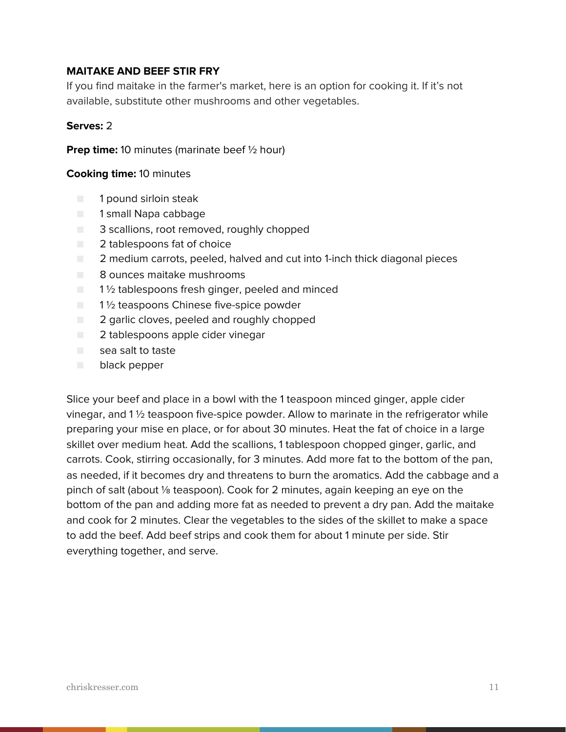### **MAITAKE AND BEEF STIR FRY**

If you find maitake in the farmer's market, here is an option for cooking it. If it's not available, substitute other mushrooms and other vegetables.

#### **Serves:** 2

**Prep time:** 10 minutes (marinate beef 1/2 hour)

#### **Cooking time:** 10 minutes

- 1 pound sirloin steak
- 1 small Napa cabbage
- 3 scallions, root removed, roughly chopped
- 2 tablespoons fat of choice
- 2 medium carrots, peeled, halved and cut into 1-inch thick diagonal pieces
- 8 ounces maitake mushrooms
- $\blacksquare$  1 % tablespoons fresh ginger, peeled and minced
- $\Box$  1  $\frac{1}{2}$  teaspoons Chinese five-spice powder
- 2 garlic cloves, peeled and roughly chopped
- 2 tablespoons apple cider vinegar
- sea salt to taste
- black pepper

Slice your beef and place in a bowl with the 1 teaspoon minced ginger, apple cider vinegar, and  $1\frac{1}{2}$  teaspoon five-spice powder. Allow to marinate in the refrigerator while preparing your mise en place, or for about 30 minutes. Heat the fat of choice in a large skillet over medium heat. Add the scallions, 1 tablespoon chopped ginger, garlic, and carrots. Cook, stirring occasionally, for 3 minutes. Add more fat to the bottom of the pan, as needed, if it becomes dry and threatens to burn the aromatics. Add the cabbage and a pinch of salt (about ⅛ teaspoon). Cook for 2 minutes, again keeping an eye on the bottom of the pan and adding more fat as needed to prevent a dry pan. Add the maitake and cook for 2 minutes. Clear the vegetables to the sides of the skillet to make a space to add the beef. Add beef strips and cook them for about 1 minute per side. Stir everything together, and serve.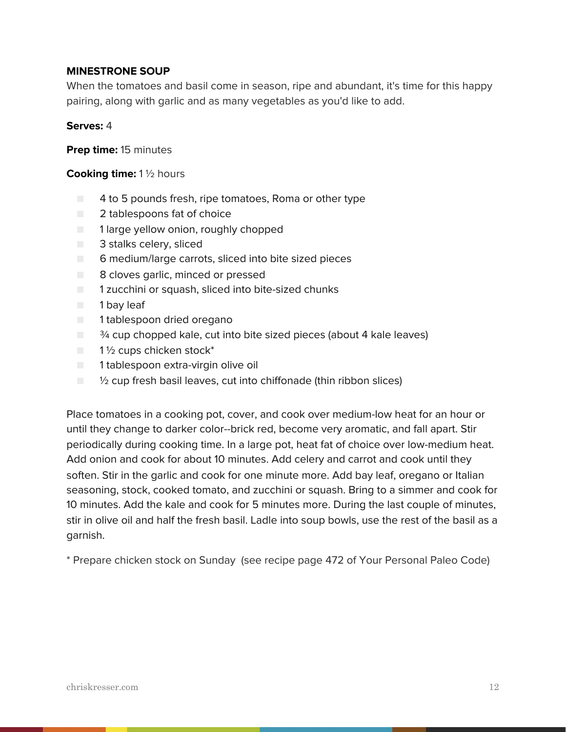#### **MINESTRONE SOUP**

When the tomatoes and basil come in season, ripe and abundant, it's time for this happy pairing, along with garlic and as many vegetables as you'd like to add.

#### **Serves:** 4

**Prep time:** 15 minutes

#### **Cooking time:** 1 ½ hours

- 4 to 5 pounds fresh, ripe tomatoes, Roma or other type
- 2 tablespoons fat of choice
- 1 large yellow onion, roughly chopped
- 3 stalks celery, sliced
- 6 medium/large carrots, sliced into bite sized pieces
- 8 cloves garlic, minced or pressed
- 1 zucchini or squash, sliced into bite-sized chunks
- 1 bay leaf
- 1 tablespoon dried oregano
- $\blacksquare$   $\frac{3}{4}$  cup chopped kale, cut into bite sized pieces (about 4 kale leaves)
- $\blacksquare$  1 1/2 cups chicken stock\*
- 1 tablespoon extra-virgin olive oil
- $\Box$   $\%$  cup fresh basil leaves, cut into chiffonade (thin ribbon slices)

Place tomatoes in a cooking pot, cover, and cook over medium-low heat for an hour or until they change to darker color--brick red, become very aromatic, and fall apart. Stir periodically during cooking time. In a large pot, heat fat of choice over low-medium heat. Add onion and cook for about 10 minutes. Add celery and carrot and cook until they soften. Stir in the garlic and cook for one minute more. Add bay leaf, oregano or Italian seasoning, stock, cooked tomato, and zucchini or squash. Bring to a simmer and cook for 10 minutes. Add the kale and cook for 5 minutes more. During the last couple of minutes, stir in olive oil and half the fresh basil. Ladle into soup bowls, use the rest of the basil as a garnish.

\* Prepare chicken stock on Sunday (see recipe page 472 of Your Personal Paleo Code)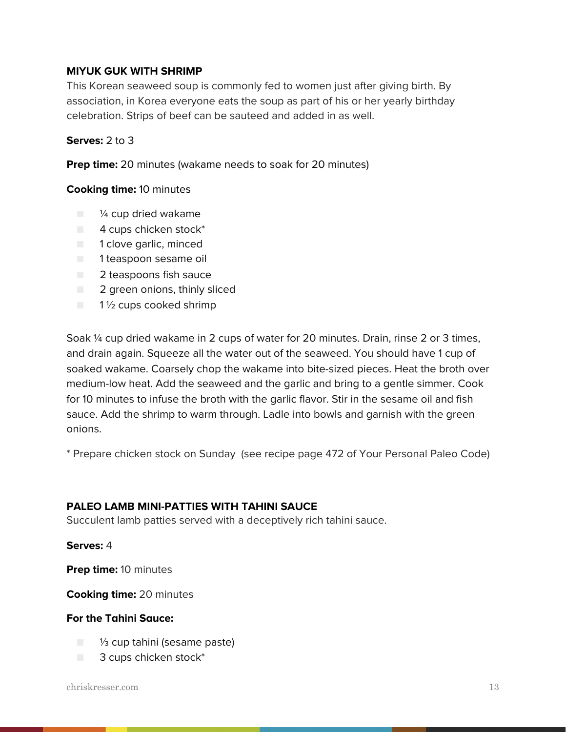#### **MIYUK GUK WITH SHRIMP**

This Korean seaweed soup is commonly fed to women just after giving birth. By association, in Korea everyone eats the soup as part of his or her yearly birthday celebration. Strips of beef can be sauteed and added in as well.

#### **Serves:** 2 to 3

**Prep time:** 20 minutes (wakame needs to soak for 20 minutes)

#### **Cooking time:** 10 minutes

- <sup>1/4</sup> cup dried wakame
- $\blacksquare$  4 cups chicken stock\*
- 1 clove garlic, minced
- 1 teaspoon sesame oil
- 2 teaspoons fish sauce
- 2 green onions, thinly sliced
- $\blacksquare$  1 1/2 cups cooked shrimp

Soak ¼ cup dried wakame in 2 cups of water for 20 minutes. Drain, rinse 2 or 3 times, and drain again. Squeeze all the water out of the seaweed. You should have 1 cup of soaked wakame. Coarsely chop the wakame into bite-sized pieces. Heat the broth over medium-low heat. Add the seaweed and the garlic and bring to a gentle simmer. Cook for 10 minutes to infuse the broth with the garlic flavor. Stir in the sesame oil and fish sauce. Add the shrimp to warm through. Ladle into bowls and garnish with the green onions.

\* Prepare chicken stock on Sunday (see recipe page 472 of Your Personal Paleo Code)

#### **PALEO LAMB MINI-PATTIES WITH TAHINI SAUCE**

Succulent lamb patties served with a deceptively rich tahini sauce.

#### **Serves:** 4

**Prep time:** 10 minutes

**Cooking time:** 20 minutes

#### **For the Tahini Sauce:**

- <sup>1/3</sup> cup tahini (sesame paste)
- 3 cups chicken stock<sup>\*</sup>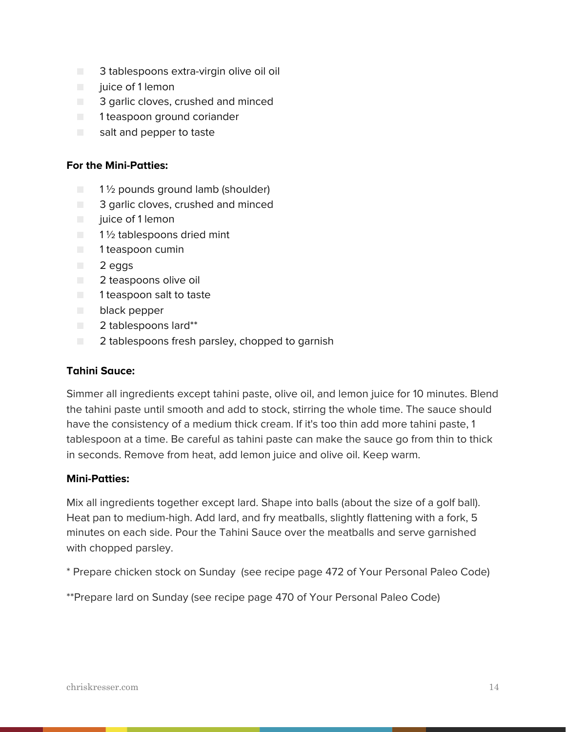- 3 tablespoons extra-virgin olive oil oil
- juice of 1 lemon
- 3 garlic cloves, crushed and minced
- 1 teaspoon ground coriander
- salt and pepper to taste

#### **For the Mini-Patties:**

- $\Box$  1  $\frac{1}{2}$  pounds ground lamb (shoulder)
- 3 garlic cloves, crushed and minced
- juice of 1 lemon
- $\blacksquare$  1  $\frac{1}{2}$  tablespoons dried mint
- 1 teaspoon cumin
- 2 eggs
- 2 teaspoons olive oil
- 1 teaspoon salt to taste
- black pepper
- 2 tablespoons lard\*\*
- **EXECUTE:** 2 tablespoons fresh parsley, chopped to garnish

#### **Tahini Sauce:**

Simmer all ingredients except tahini paste, olive oil, and lemon juice for 10 minutes. Blend the tahini paste until smooth and add to stock, stirring the whole time. The sauce should have the consistency of a medium thick cream. If it's too thin add more tahini paste, 1 tablespoon at a time. Be careful as tahini paste can make the sauce go from thin to thick in seconds. Remove from heat, add lemon juice and olive oil. Keep warm.

#### **Mini-Patties:**

Mix all ingredients together except lard. Shape into balls (about the size of a golf ball). Heat pan to medium-high. Add lard, and fry meatballs, slightly flattening with a fork, 5 minutes on each side. Pour the Tahini Sauce over the meatballs and serve garnished with chopped parsley.

\* Prepare chicken stock on Sunday (see recipe page 472 of Your Personal Paleo Code)

\*\*Prepare lard on Sunday (see recipe page 470 of Your Personal Paleo Code)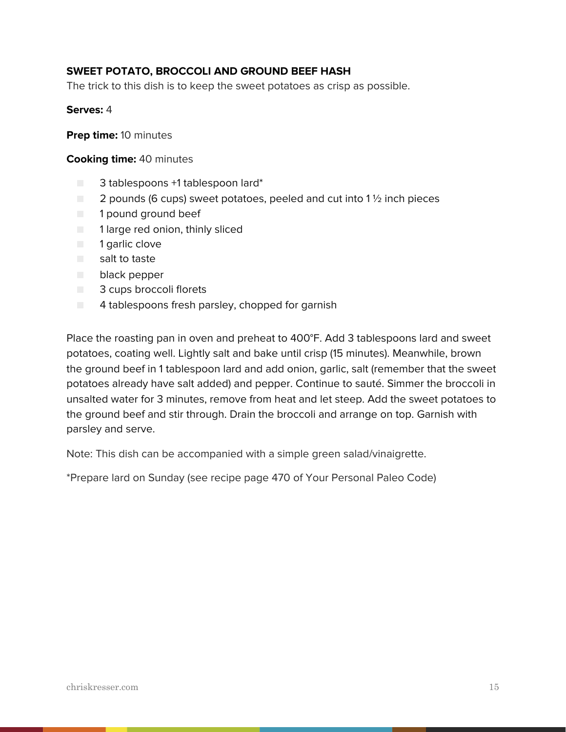### **SWEET POTATO, BROCCOLI AND GROUND BEEF HASH**

The trick to this dish is to keep the sweet potatoes as crisp as possible.

#### **Serves:** 4

**Prep time:** 10 minutes

#### **Cooking time:** 40 minutes

- 3 tablespoons +1 tablespoon lard\*
- $\Box$  2 pounds (6 cups) sweet potatoes, peeled and cut into 1  $\frac{1}{2}$  inch pieces
- 1 pound ground beef
- 1 large red onion, thinly sliced
- 1 garlic clove
- salt to taste
- black pepper
- 3 cups broccoli florets
- 4 tablespoons fresh parsley, chopped for garnish

Place the roasting pan in oven and preheat to 400°F. Add 3 tablespoons lard and sweet potatoes, coating well. Lightly salt and bake until crisp (15 minutes). Meanwhile, brown the ground beef in 1 tablespoon lard and add onion, garlic, salt (remember that the sweet potatoes already have salt added) and pepper. Continue to sauté. Simmer the broccoli in unsalted water for 3 minutes, remove from heat and let steep. Add the sweet potatoes to the ground beef and stir through. Drain the broccoli and arrange on top. Garnish with parsley and serve.

Note: This dish can be accompanied with a simple green salad/vinaigrette.

\*Prepare lard on Sunday (see recipe page 470 of Your Personal Paleo Code)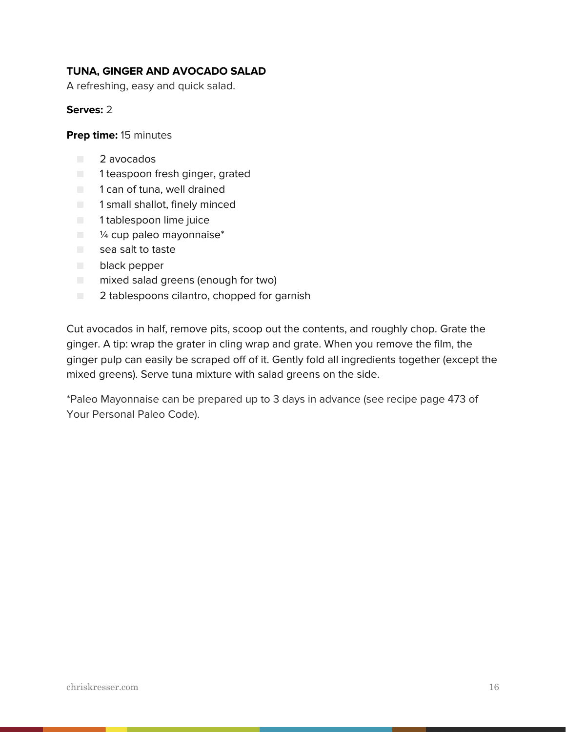### **TUNA, GINGER AND AVOCADO SALAD**

A refreshing, easy and quick salad.

#### **Serves:** 2

**Prep time:** 15 minutes

- 2 avocados
- 1 teaspoon fresh ginger, grated
- 1 can of tuna, well drained
- 1 small shallot, finely minced
- 1 tablespoon lime juice
- $\blacksquare$  % cup paleo mayonnaise\*
- sea salt to taste
- black pepper
- mixed salad greens (enough for two)
- 2 tablespoons cilantro, chopped for garnish

Cut avocados in half, remove pits, scoop out the contents, and roughly chop. Grate the ginger. A tip: wrap the grater in cling wrap and grate. When you remove the film, the ginger pulp can easily be scraped off of it. Gently fold all ingredients together (except the mixed greens). Serve tuna mixture with salad greens on the side.

\*Paleo Mayonnaise can be prepared up to 3 days in advance (see recipe page 473 of Your Personal Paleo Code).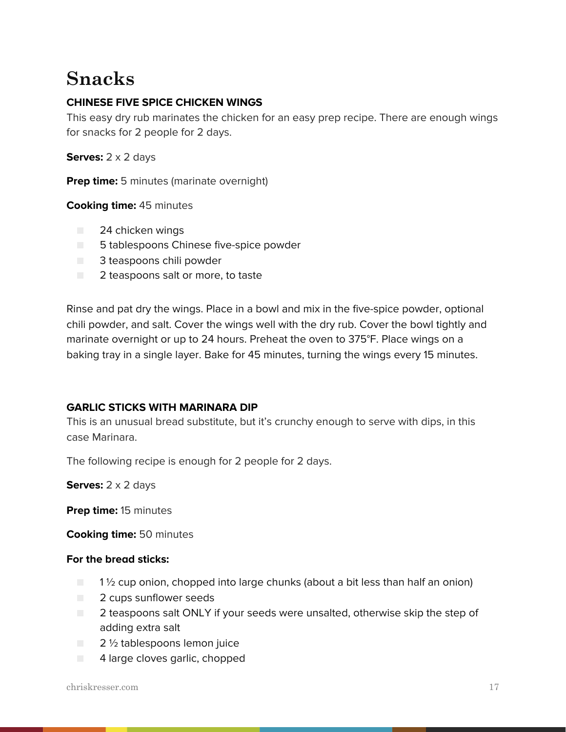# **Snacks**

# **CHINESE FIVE SPICE CHICKEN WINGS**

This easy dry rub marinates the chicken for an easy prep recipe. There are enough wings for snacks for 2 people for 2 days.

**Serves:** 2 x 2 days

**Prep time:** 5 minutes (marinate overnight)

#### **Cooking time:** 45 minutes

- 24 chicken wings
- 5 tablespoons Chinese five-spice powder
- 3 teaspoons chili powder
- 2 teaspoons salt or more, to taste

Rinse and pat dry the wings. Place in a bowl and mix in the five-spice powder, optional chili powder, and salt. Cover the wings well with the dry rub. Cover the bowl tightly and marinate overnight or up to 24 hours. Preheat the oven to 375°F. Place wings on a baking tray in a single layer. Bake for 45 minutes, turning the wings every 15 minutes.

#### **GARLIC STICKS WITH MARINARA DIP**

This is an unusual bread substitute, but it's crunchy enough to serve with dips, in this case Marinara.

The following recipe is enough for 2 people for 2 days.

**Serves:** 2 x 2 days

**Prep time:** 15 minutes

**Cooking time:** 50 minutes

#### **For the bread sticks:**

- $\Box$  1  $\frac{1}{2}$  cup onion, chopped into large chunks (about a bit less than half an onion)
- **2** cups sunflower seeds
- 2 teaspoons salt ONLY if your seeds were unsalted, otherwise skip the step of adding extra salt
- 2 ½ tablespoons lemon juice
- 4 large cloves garlic, chopped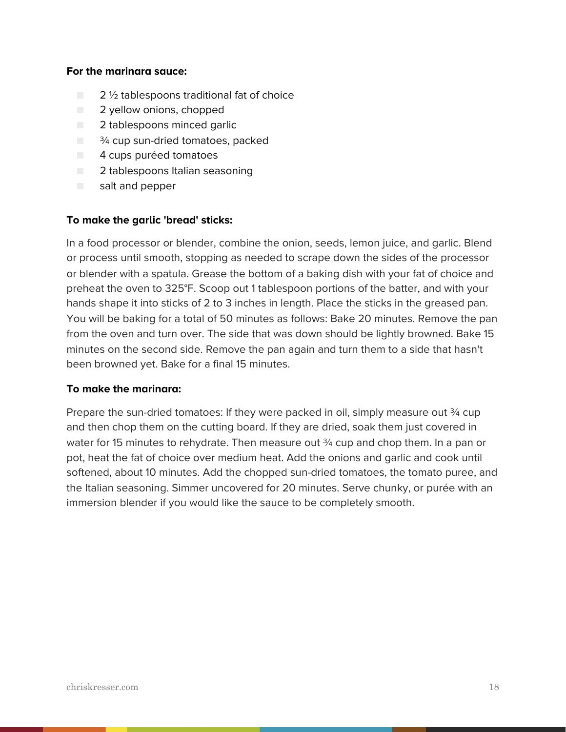#### **For the marinara sauce:**

- $\Box$  2  $\frac{1}{2}$  tablespoons traditional fat of choice
- 2 yellow onions, chopped
- 2 tablespoons minced garlic
- $\Box$   $\frac{3}{4}$  cup sun-dried tomatoes, packed
- 4 cups puréed tomatoes
- 2 tablespoons Italian seasoning
- salt and pepper

#### **To make the garlic 'bread' sticks:**

In a food processor or blender, combine the onion, seeds, lemon juice, and garlic. Blend or process until smooth, stopping as needed to scrape down the sides of the processor or blender with a spatula. Grease the bottom of a baking dish with your fat of choice and preheat the oven to 325°F. Scoop out 1 tablespoon portions of the batter, and with your hands shape it into sticks of 2 to 3 inches in length. Place the sticks in the greased pan. You will be baking for a total of 50 minutes as follows: Bake 20 minutes. Remove the pan from the oven and turn over. The side that was down should be lightly browned. Bake 15 minutes on the second side. Remove the pan again and turn them to a side that hasn't been browned yet. Bake for a final 15 minutes.

#### **To make the marinara:**

Prepare the sun-dried tomatoes: If they were packed in oil, simply measure out  $\frac{3}{4}$  cup and then chop them on the cutting board. If they are dried, soak them just covered in water for 15 minutes to rehydrate. Then measure out 34 cup and chop them. In a pan or pot, heat the fat of choice over medium heat. Add the onions and garlic and cook until softened, about 10 minutes. Add the chopped sun-dried tomatoes, the tomato puree, and the Italian seasoning. Simmer uncovered for 20 minutes. Serve chunky, or purée with an immersion blender if you would like the sauce to be completely smooth.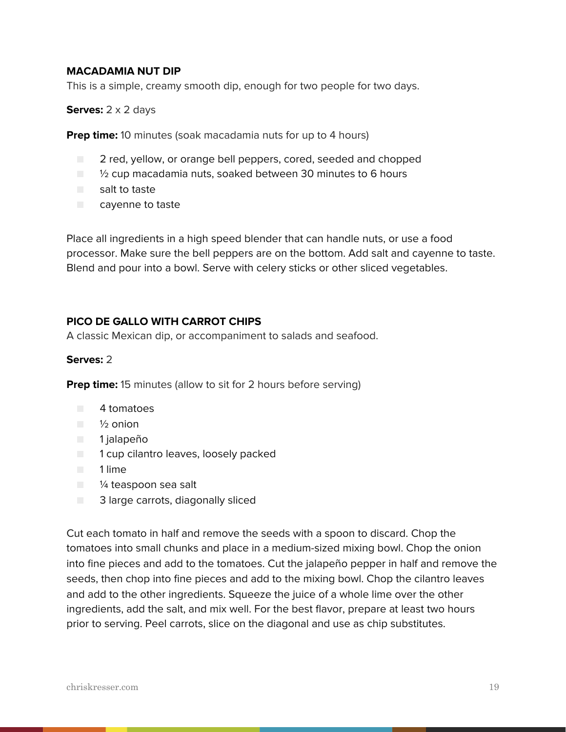#### **MACADAMIA NUT DIP**

This is a simple, creamy smooth dip, enough for two people for two days.

**Serves:** 2 x 2 days

**Prep time:** 10 minutes (soak macadamia nuts for up to 4 hours)

- 2 red, yellow, or orange bell peppers, cored, seeded and chopped
- <sup>1</sup>/<sub>2</sub> cup macadamia nuts, soaked between 30 minutes to 6 hours
- salt to taste
- cavenne to taste

Place all ingredients in a high speed blender that can handle nuts, or use a food processor. Make sure the bell peppers are on the bottom. Add salt and cayenne to taste. Blend and pour into a bowl. Serve with celery sticks or other sliced vegetables.

#### **PICO DE GALLO WITH CARROT CHIPS**

A classic Mexican dip, or accompaniment to salads and seafood.

#### **Serves:** 2

**Prep time:** 15 minutes (allow to sit for 2 hours before serving)

- 4 tomatoes
- ½ onion
- 1 jalapeño
- 1 cup cilantro leaves, loosely packed
- 1 lime
- <sup>1/4</sup> teaspoon sea salt
- 3 large carrots, diagonally sliced

Cut each tomato in half and remove the seeds with a spoon to discard. Chop the tomatoes into small chunks and place in a medium-sized mixing bowl. Chop the onion into fine pieces and add to the tomatoes. Cut the jalapeño pepper in half and remove the seeds, then chop into fine pieces and add to the mixing bowl. Chop the cilantro leaves and add to the other ingredients. Squeeze the juice of a whole lime over the other ingredients, add the salt, and mix well. For the best flavor, prepare at least two hours prior to serving. Peel carrots, slice on the diagonal and use as chip substitutes.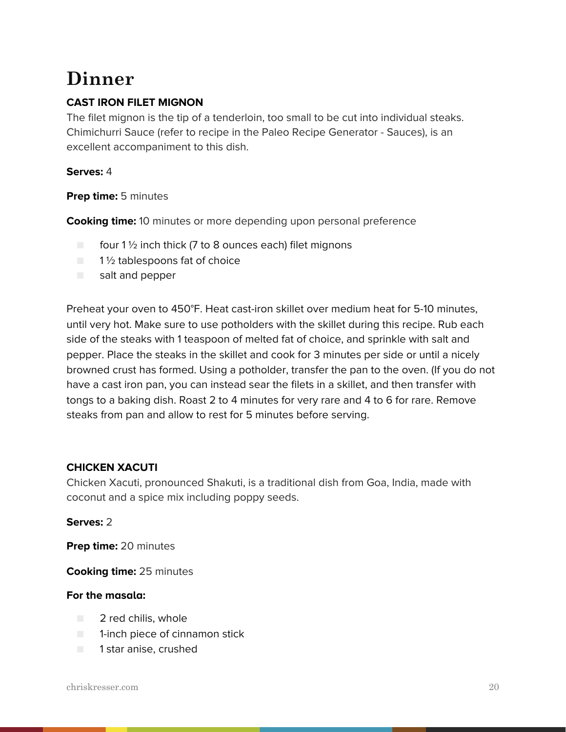# **Dinner**

# **CAST IRON FILET MIGNON**

The filet mignon is the tip of a tenderloin, too small to be cut into individual steaks. Chimichurri Sauce (refer to recipe in the Paleo Recipe Generator - Sauces), is an excellent accompaniment to this dish.

### **Serves:** 4

#### **Prep time:** 5 minutes

**Cooking time:** 10 minutes or more depending upon personal preference

- $\Box$  four 1 1/2 inch thick (7 to 8 ounces each) filet mignons
- 1<sup>1</sup>/<sub>2</sub> tablespoons fat of choice
- salt and pepper

Preheat your oven to 450°F. Heat cast-iron skillet over medium heat for 5-10 minutes, until very hot. Make sure to use potholders with the skillet during this recipe. Rub each side of the steaks with 1 teaspoon of melted fat of choice, and sprinkle with salt and pepper. Place the steaks in the skillet and cook for 3 minutes per side or until a nicely browned crust has formed. Using a potholder, transfer the pan to the oven. (If you do not have a cast iron pan, you can instead sear the filets in a skillet, and then transfer with tongs to a baking dish. Roast 2 to 4 minutes for very rare and 4 to 6 for rare. Remove steaks from pan and allow to rest for 5 minutes before serving.

## **CHICKEN XACUTI**

Chicken Xacuti, pronounced Shakuti, is a traditional dish from Goa, India, made with coconut and a spice mix including poppy seeds.

#### **Serves:** 2

**Prep time:** 20 minutes

**Cooking time:** 25 minutes

#### **For the masala:**

- 2 red chilis, whole
- 1-inch piece of cinnamon stick
- 1 star anise, crushed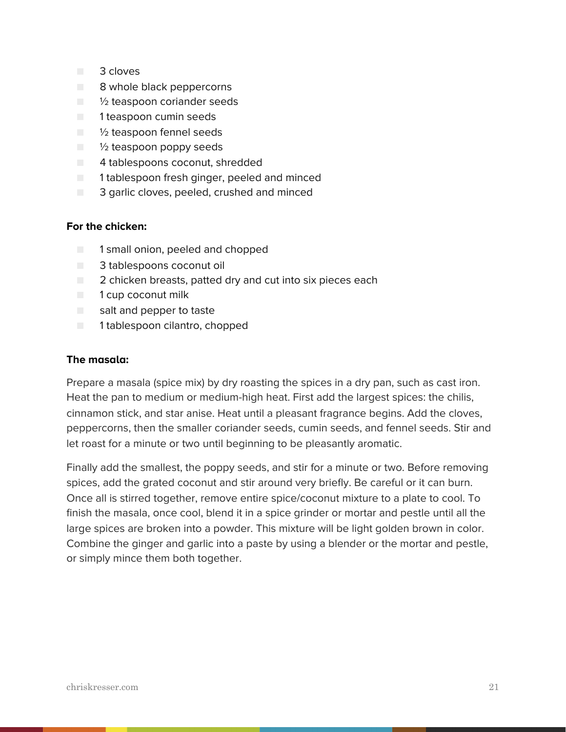- 3 cloves
- 8 whole black peppercorns
- $\blacksquare$   $\mathcal V_2$  teaspoon coriander seeds
- 1 teaspoon cumin seeds
- <sup>1</sup>/<sub>2</sub> teaspoon fennel seeds
- $\blacksquare$   $\mathcal V_2$  teaspoon poppy seeds
- 4 tablespoons coconut, shredded
- 1 tablespoon fresh ginger, peeled and minced
- 3 garlic cloves, peeled, crushed and minced

#### **For the chicken:**

- 1 small onion, peeled and chopped
- 3 tablespoons coconut oil
- 2 chicken breasts, patted dry and cut into six pieces each
- 1 cup coconut milk
- salt and pepper to taste
- 1 tablespoon cilantro, chopped

#### **The masala:**

Prepare a masala (spice mix) by dry roasting the spices in a dry pan, such as cast iron. Heat the pan to medium or medium-high heat. First add the largest spices: the chilis, cinnamon stick, and star anise. Heat until a pleasant fragrance begins. Add the cloves, peppercorns, then the smaller coriander seeds, cumin seeds, and fennel seeds. Stir and let roast for a minute or two until beginning to be pleasantly aromatic.

Finally add the smallest, the poppy seeds, and stir for a minute or two. Before removing spices, add the grated coconut and stir around very briefly. Be careful or it can burn. Once all is stirred together, remove entire spice/coconut mixture to a plate to cool. To finish the masala, once cool, blend it in a spice grinder or mortar and pestle until all the large spices are broken into a powder. This mixture will be light golden brown in color. Combine the ginger and garlic into a paste by using a blender or the mortar and pestle, or simply mince them both together.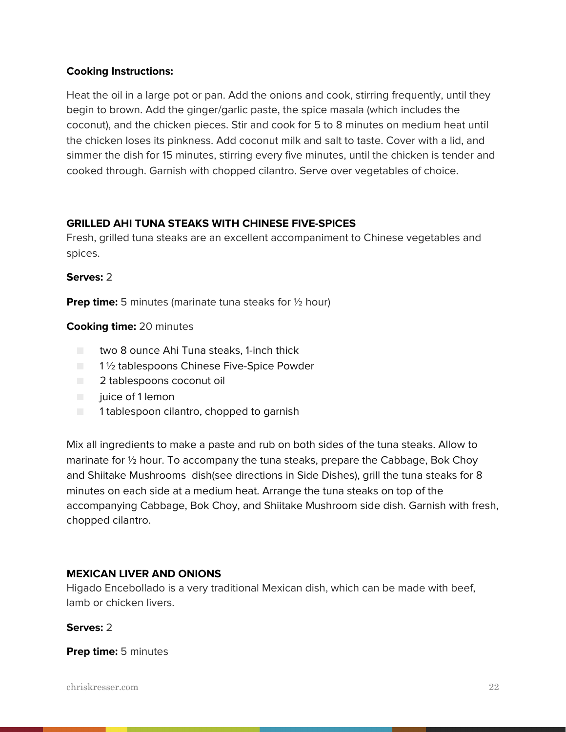### **Cooking Instructions:**

Heat the oil in a large pot or pan. Add the onions and cook, stirring frequently, until they begin to brown. Add the ginger/garlic paste, the spice masala (which includes the coconut), and the chicken pieces. Stir and cook for 5 to 8 minutes on medium heat until the chicken loses its pinkness. Add coconut milk and salt to taste. Cover with a lid, and simmer the dish for 15 minutes, stirring every five minutes, until the chicken is tender and cooked through. Garnish with chopped cilantro. Serve over vegetables of choice.

## **GRILLED AHI TUNA STEAKS WITH CHINESE FIVE-SPICES**

Fresh, grilled tuna steaks are an excellent accompaniment to Chinese vegetables and spices.

#### **Serves:** 2

**Prep time:** 5 minutes (marinate tuna steaks for 1/2 hour)

#### **Cooking time:** 20 minutes

- two 8 ounce Ahi Tuna steaks, 1-inch thick
- 1½ tablespoons Chinese Five-Spice Powder
- 2 tablespoons coconut oil
- juice of 1 lemon
- 1 tablespoon cilantro, chopped to garnish

Mix all ingredients to make a paste and rub on both sides of the tuna steaks. Allow to marinate for ½ hour. To accompany the tuna steaks, prepare the Cabbage, Bok Choy and Shiitake Mushrooms dish(see directions in Side Dishes), grill the tuna steaks for 8 minutes on each side at a medium heat. Arrange the tuna steaks on top of the accompanying Cabbage, Bok Choy, and Shiitake Mushroom side dish. Garnish with fresh, chopped cilantro.

#### **MEXICAN LIVER AND ONIONS**

Higado Encebollado is a very traditional Mexican dish, which can be made with beef, lamb or chicken livers.

#### **Serves:** 2

**Prep time:** 5 minutes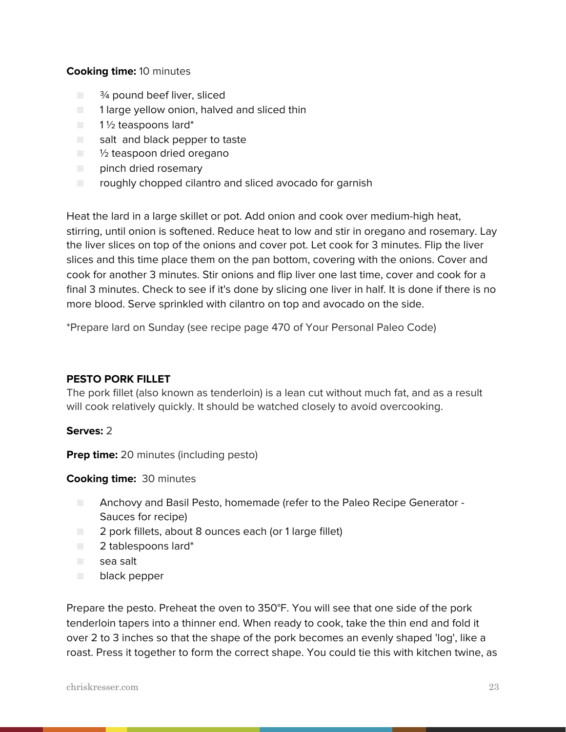#### **Cooking time:** 10 minutes

- $\blacksquare$   $\frac{3}{4}$  pound beef liver, sliced
- $\Box$  1 large yellow onion, halved and sliced thin
- 1½ teaspoons lard\*
- salt and black pepper to taste
- <sup>1</sup>/<sub>2</sub> teaspoon dried oregano
- pinch dried rosemary
- roughly chopped cilantro and sliced avocado for garnish

Heat the lard in a large skillet or pot. Add onion and cook over medium-high heat, stirring, until onion is softened. Reduce heat to low and stir in oregano and rosemary. Lay the liver slices on top of the onions and cover pot. Let cook for 3 minutes. Flip the liver slices and this time place them on the pan bottom, covering with the onions. Cover and cook for another 3 minutes. Stir onions and flip liver one last time, cover and cook for a final 3 minutes. Check to see if it's done by slicing one liver in half. It is done if there is no more blood. Serve sprinkled with cilantro on top and avocado on the side.

\*Prepare lard on Sunday (see recipe page 470 of Your Personal Paleo Code)

#### **PESTO PORK FILLET**

The pork fillet (also known as tenderloin) is a lean cut without much fat, and as a result will cook relatively quickly. It should be watched closely to avoid overcooking.

#### **Serves:** 2

**Prep time:** 20 minutes (including pesto)

#### **Cooking time:** 30 minutes

- Anchovy and Basil Pesto, homemade (refer to the Paleo Recipe Generator -Sauces for recipe)
- 2 pork fillets, about 8 ounces each (or 1 large fillet)
- 2 tablespoons lard\*
- sea salt
- black pepper

Prepare the pesto. Preheat the oven to 350°F. You will see that one side of the pork tenderloin tapers into a thinner end. When ready to cook, take the thin end and fold it over 2 to 3 inches so that the shape of the pork becomes an evenly shaped 'log', like a roast. Press it together to form the correct shape. You could tie this with kitchen twine, as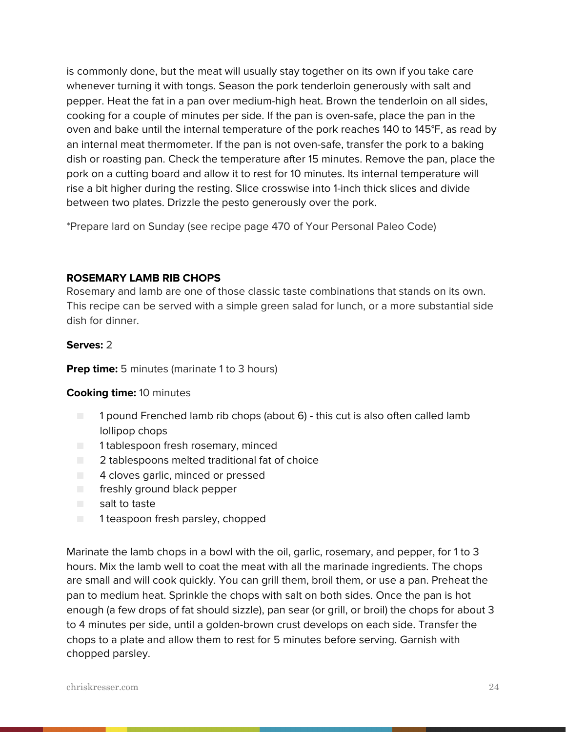is commonly done, but the meat will usually stay together on its own if you take care whenever turning it with tongs. Season the pork tenderloin generously with salt and pepper. Heat the fat in a pan over medium-high heat. Brown the tenderloin on all sides, cooking for a couple of minutes per side. If the pan is oven-safe, place the pan in the oven and bake until the internal temperature of the pork reaches 140 to 145°F, as read by an internal meat thermometer. If the pan is not oven-safe, transfer the pork to a baking dish or roasting pan. Check the temperature after 15 minutes. Remove the pan, place the pork on a cutting board and allow it to rest for 10 minutes. Its internal temperature will rise a bit higher during the resting. Slice crosswise into 1-inch thick slices and divide between two plates. Drizzle the pesto generously over the pork.

\*Prepare lard on Sunday (see recipe page 470 of Your Personal Paleo Code)

#### **ROSEMARY LAMB RIB CHOPS**

Rosemary and lamb are one of those classic taste combinations that stands on its own. This recipe can be served with a simple green salad for lunch, or a more substantial side dish for dinner.

#### **Serves:** 2

**Prep time:** 5 minutes (marinate 1 to 3 hours)

#### **Cooking time:** 10 minutes

- 1 pound Frenched lamb rib chops (about 6) this cut is also often called lamb lollipop chops
- 1 tablespoon fresh rosemary, minced
- 2 tablespoons melted traditional fat of choice
- 4 cloves garlic, minced or pressed
- freshly ground black pepper
- salt to taste
- 1 teaspoon fresh parsley, chopped

Marinate the lamb chops in a bowl with the oil, garlic, rosemary, and pepper, for 1 to 3 hours. Mix the lamb well to coat the meat with all the marinade ingredients. The chops are small and will cook quickly. You can grill them, broil them, or use a pan. Preheat the pan to medium heat. Sprinkle the chops with salt on both sides. Once the pan is hot enough (a few drops of fat should sizzle), pan sear (or grill, or broil) the chops for about 3 to 4 minutes per side, until a golden-brown crust develops on each side. Transfer the chops to a plate and allow them to rest for 5 minutes before serving. Garnish with chopped parsley.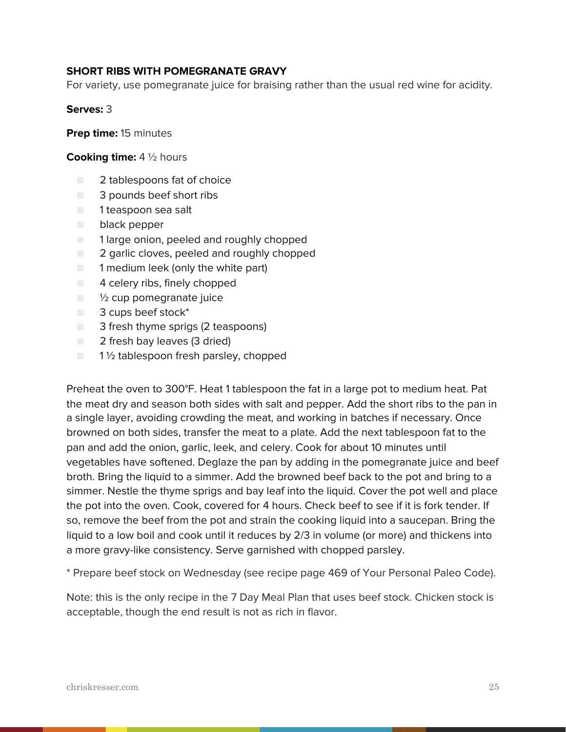#### **SHORT RIBS WITH POMEGRANATE GRAVY**

For variety, use pomegranate juice for braising rather than the usual red wine for acidity.

#### **Serves:** 3

**Prep time:** 15 minutes

#### **Cooking time:** 4 ½ hours

- 2 tablespoons fat of choice
- 3 pounds beef short ribs
- 1 teaspoon sea salt
- black pepper
- $\Box$  1 large onion, peeled and roughly chopped
- 2 garlic cloves, peeled and roughly chopped
- 1 medium leek (only the white part)
- 4 celery ribs, finely chopped
- $\blacksquare$   $\mathcal V_2$  cup pomegranate juice
- 3 cups beef stock<sup>\*</sup>
- 3 fresh thyme sprigs (2 teaspoons)
- 2 fresh bay leaves (3 dried)
- $\blacksquare$  1 % tablespoon fresh parsley, chopped

Preheat the oven to 300°F. Heat 1 tablespoon the fat in a large pot to medium heat. Pat the meat dry and season both sides with salt and pepper. Add the short ribs to the pan in a single layer, avoiding crowding the meat, and working in batches if necessary. Once browned on both sides, transfer the meat to a plate. Add the next tablespoon fat to the pan and add the onion, garlic, leek, and celery. Cook for about 10 minutes until vegetables have softened. Deglaze the pan by adding in the pomegranate juice and beef broth. Bring the liquid to a simmer. Add the browned beef back to the pot and bring to a simmer. Nestle the thyme sprigs and bay leaf into the liquid. Cover the pot well and place the pot into the oven. Cook, covered for 4 hours. Check beef to see if it is fork tender. If so, remove the beef from the pot and strain the cooking liquid into a saucepan. Bring the liquid to a low boil and cook until it reduces by 2/3 in volume (or more) and thickens into a more gravy-like consistency. Serve garnished with chopped parsley.

\* Prepare beef stock on Wednesday (see recipe page 469 of Your Personal Paleo Code).

Note: this is the only recipe in the 7 Day Meal Plan that uses beef stock. Chicken stock is acceptable, though the end result is not as rich in flavor.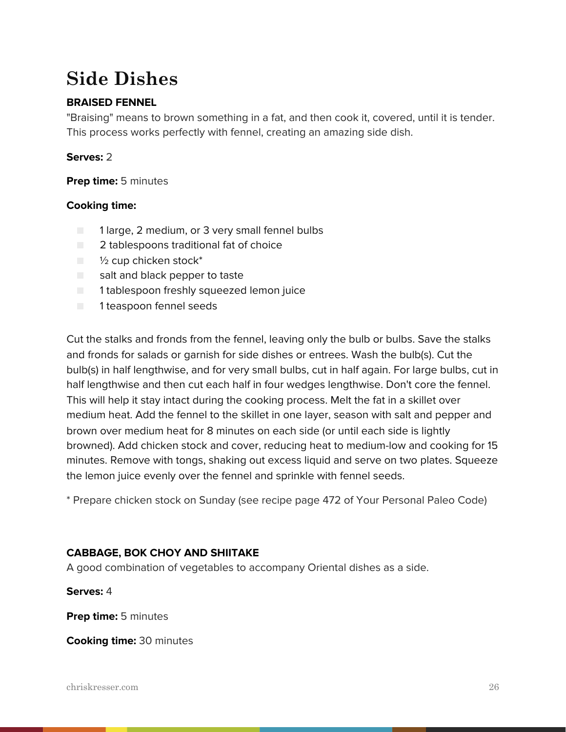# **Side Dishes**

# **BRAISED FENNEL**

"Braising" means to brown something in a fat, and then cook it, covered, until it is tender. This process works perfectly with fennel, creating an amazing side dish.

### **Serves:** 2

**Prep time:** 5 minutes

### **Cooking time:**

- 1 large, 2 medium, or 3 very small fennel bulbs
- 2 tablespoons traditional fat of choice
- $\blacksquare$   $\frac{1}{2}$  cup chicken stock\*
- salt and black pepper to taste
- 1 tablespoon freshly squeezed lemon juice
- 1 teaspoon fennel seeds

Cut the stalks and fronds from the fennel, leaving only the bulb or bulbs. Save the stalks and fronds for salads or garnish for side dishes or entrees. Wash the bulb(s). Cut the bulb(s) in half lengthwise, and for very small bulbs, cut in half again. For large bulbs, cut in half lengthwise and then cut each half in four wedges lengthwise. Don't core the fennel. This will help it stay intact during the cooking process. Melt the fat in a skillet over medium heat. Add the fennel to the skillet in one layer, season with salt and pepper and brown over medium heat for 8 minutes on each side (or until each side is lightly browned). Add chicken stock and cover, reducing heat to medium-low and cooking for 15 minutes. Remove with tongs, shaking out excess liquid and serve on two plates. Squeeze the lemon juice evenly over the fennel and sprinkle with fennel seeds.

\* Prepare chicken stock on Sunday (see recipe page 472 of Your Personal Paleo Code)

## **CABBAGE, BOK CHOY AND SHIITAKE**

A good combination of vegetables to accompany Oriental dishes as a side.

**Serves:** 4

**Prep time:** 5 minutes

**Cooking time:** 30 minutes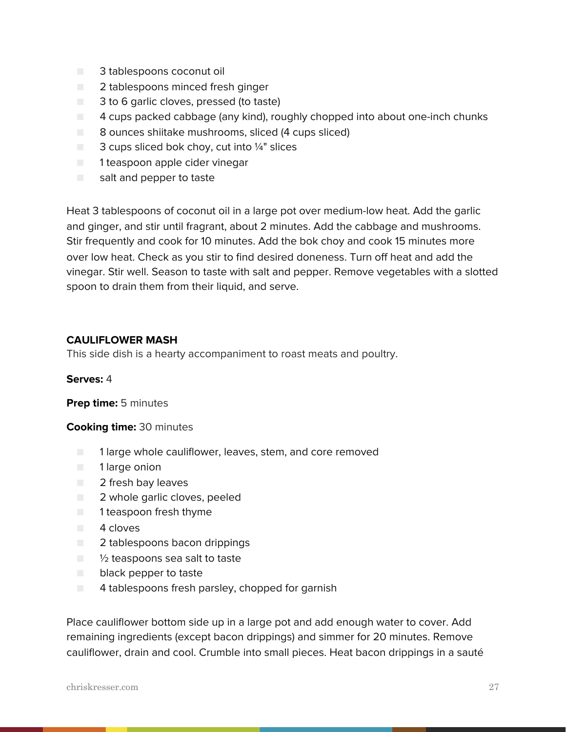- 3 tablespoons coconut oil
- 2 tablespoons minced fresh ginger
- 3 to 6 garlic cloves, pressed (to taste)
- 4 cups packed cabbage (any kind), roughly chopped into about one-inch chunks
- 8 ounces shiitake mushrooms, sliced (4 cups sliced)
- $\Box$  3 cups sliced bok choy, cut into  $\frac{1}{4}$ " slices
- 1 teaspoon apple cider vinegar
- salt and pepper to taste

Heat 3 tablespoons of coconut oil in a large pot over medium-low heat. Add the garlic and ginger, and stir until fragrant, about 2 minutes. Add the cabbage and mushrooms. Stir frequently and cook for 10 minutes. Add the bok choy and cook 15 minutes more over low heat. Check as you stir to find desired doneness. Turn off heat and add the vinegar. Stir well. Season to taste with salt and pepper. Remove vegetables with a slotted spoon to drain them from their liquid, and serve.

#### **CAULIFLOWER MASH**

This side dish is a hearty accompaniment to roast meats and poultry.

#### **Serves:** 4

**Prep time:** 5 minutes

#### **Cooking time:** 30 minutes

- 1 large whole cauliflower, leaves, stem, and core removed
- 1 large onion
- 2 fresh bay leaves
- 2 whole garlic cloves, peeled
- 1 teaspoon fresh thyme
- 4 cloves
- 2 tablespoons bacon drippings
- $\Box$   $\frac{1}{2}$  teaspoons sea salt to taste
- black pepper to taste
- $\Box$  4 tablespoons fresh parsley, chopped for garnish

Place cauliflower bottom side up in a large pot and add enough water to cover. Add remaining ingredients (except bacon drippings) and simmer for 20 minutes. Remove cauliflower, drain and cool. Crumble into small pieces. Heat bacon drippings in a sauté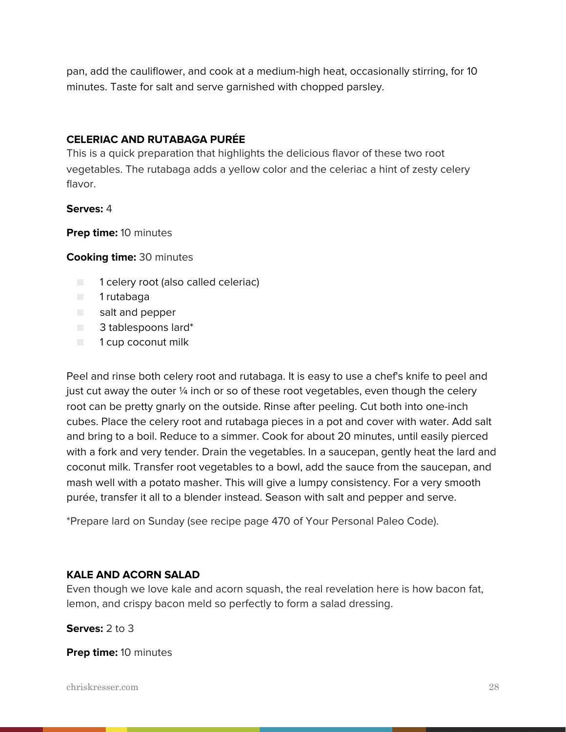pan, add the cauliflower, and cook at a medium-high heat, occasionally stirring, for 10 minutes. Taste for salt and serve garnished with chopped parsley.

## **CELERIAC AND RUTABAGA PURÉE**

This is a quick preparation that highlights the delicious flavor of these two root vegetables. The rutabaga adds a yellow color and the celeriac a hint of zesty celery flavor.

#### **Serves:** 4

**Prep time:** 10 minutes

**Cooking time:** 30 minutes

- 1 celery root (also called celeriac)
- 1 rutabaga
- salt and pepper
- 3 tablespoons lard\*
- 1 cup coconut milk

Peel and rinse both celery root and rutabaga. It is easy to use a chef's knife to peel and just cut away the outer  $\frac{1}{4}$  inch or so of these root vegetables, even though the celery root can be pretty gnarly on the outside. Rinse after peeling. Cut both into one-inch cubes. Place the celery root and rutabaga pieces in a pot and cover with water. Add salt and bring to a boil. Reduce to a simmer. Cook for about 20 minutes, until easily pierced with a fork and very tender. Drain the vegetables. In a saucepan, gently heat the lard and coconut milk. Transfer root vegetables to a bowl, add the sauce from the saucepan, and mash well with a potato masher. This will give a lumpy consistency. For a very smooth purée, transfer it all to a blender instead. Season with salt and pepper and serve.

\*Prepare lard on Sunday (see recipe page 470 of Your Personal Paleo Code).

#### **KALE AND ACORN SALAD**

Even though we love kale and acorn squash, the real revelation here is how bacon fat, lemon, and crispy bacon meld so perfectly to form a salad dressing.

**Serves:** 2 to 3

**Prep time:** 10 minutes

chriskresser.com 28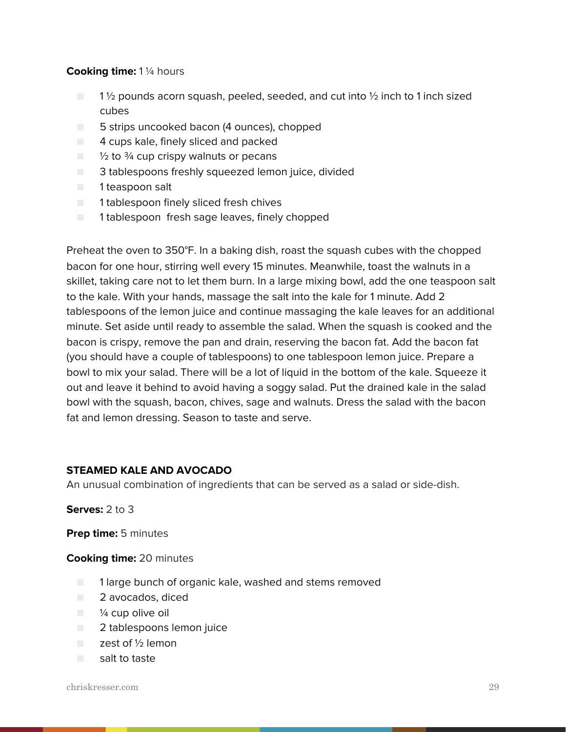#### **Cooking time:** 1 ¼ hours

- $\blacksquare$  1 1/2 pounds acorn squash, peeled, seeded, and cut into 1/2 inch to 1 inch sized cubes
- 5 strips uncooked bacon (4 ounces), chopped
- 4 cups kale, finely sliced and packed
- $\Box$  1/2 to 3/4 cup crispy walnuts or pecans
- 3 tablespoons freshly squeezed lemon juice, divided
- 1 teaspoon salt
- 1 tablespoon finely sliced fresh chives
- 1 tablespoon fresh sage leaves, finely chopped

Preheat the oven to 350°F. In a baking dish, roast the squash cubes with the chopped bacon for one hour, stirring well every 15 minutes. Meanwhile, toast the walnuts in a skillet, taking care not to let them burn. In a large mixing bowl, add the one teaspoon salt to the kale. With your hands, massage the salt into the kale for 1 minute. Add 2 tablespoons of the lemon juice and continue massaging the kale leaves for an additional minute. Set aside until ready to assemble the salad. When the squash is cooked and the bacon is crispy, remove the pan and drain, reserving the bacon fat. Add the bacon fat (you should have a couple of tablespoons) to one tablespoon lemon juice. Prepare a bowl to mix your salad. There will be a lot of liquid in the bottom of the kale. Squeeze it out and leave it behind to avoid having a soggy salad. Put the drained kale in the salad bowl with the squash, bacon, chives, sage and walnuts. Dress the salad with the bacon fat and lemon dressing. Season to taste and serve.

#### **STEAMED KALE AND AVOCADO**

An unusual combination of ingredients that can be served as a salad or side-dish.

**Serves:** 2 to 3

**Prep time:** 5 minutes

**Cooking time:** 20 minutes

- 1 large bunch of organic kale, washed and stems removed
- 2 avocados, diced
- $\blacksquare$   $\frac{1}{4}$  cup olive oil
- 2 tablespoons lemon juice
- zest of ½ lemon
- salt to taste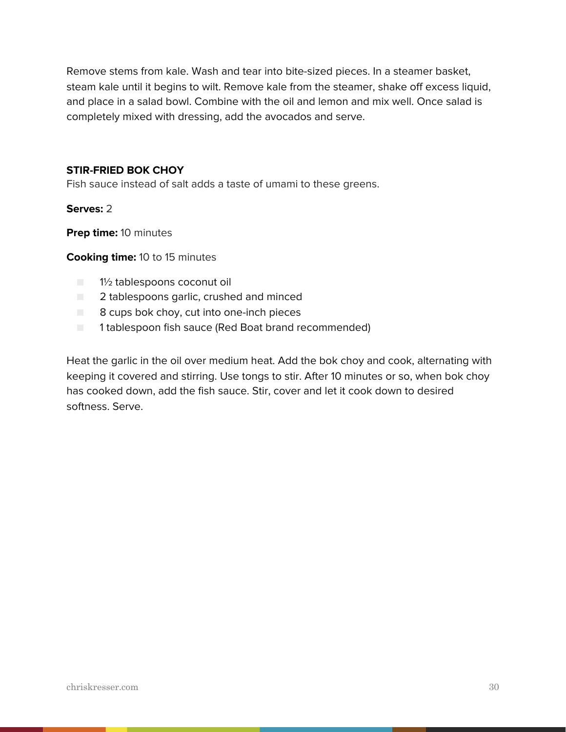Remove stems from kale. Wash and tear into bite-sized pieces. In a steamer basket, steam kale until it begins to wilt. Remove kale from the steamer, shake off excess liquid, and place in a salad bowl. Combine with the oil and lemon and mix well. Once salad is completely mixed with dressing, add the avocados and serve.

#### **STIR-FRIED BOK CHOY**

Fish sauce instead of salt adds a taste of umami to these greens.

**Serves:** 2

**Prep time:** 10 minutes

**Cooking time:** 10 to 15 minutes

- 1½ tablespoons coconut oil
- **2** tablespoons garlic, crushed and minced
- 8 cups bok choy, cut into one-inch pieces
- 1 tablespoon fish sauce (Red Boat brand recommended)

Heat the garlic in the oil over medium heat. Add the bok choy and cook, alternating with keeping it covered and stirring. Use tongs to stir. After 10 minutes or so, when bok choy has cooked down, add the fish sauce. Stir, cover and let it cook down to desired softness. Serve.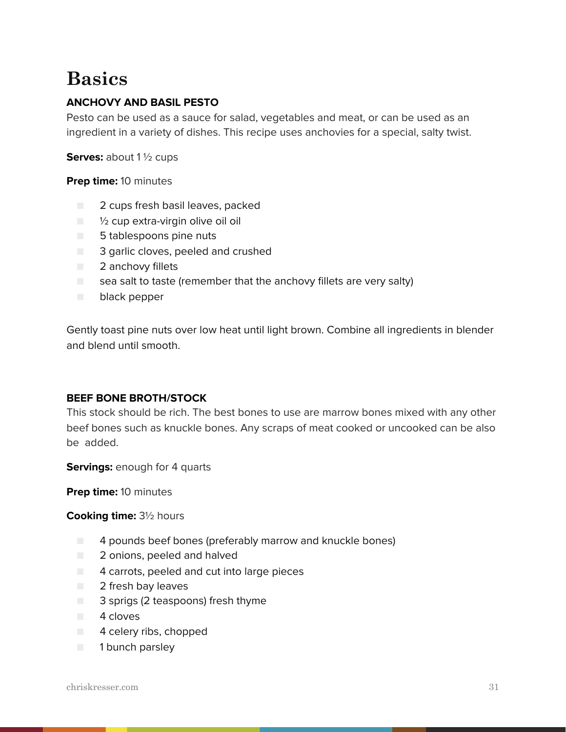# **Basics**

## **ANCHOVY AND BASIL PESTO**

Pesto can be used as a sauce for salad, vegetables and meat, or can be used as an ingredient in a variety of dishes. This recipe uses anchovies for a special, salty twist.

**Serves:** about 1 ½ cups

**Prep time:** 10 minutes

- 2 cups fresh basil leaves, packed
- $\Box$   $\frac{1}{2}$  cup extra-virgin olive oil oil
- 5 tablespoons pine nuts
- 3 garlic cloves, peeled and crushed
- 2 anchovy fillets
- $\Box$  sea salt to taste (remember that the anchovy fillets are very salty)
- black pepper

Gently toast pine nuts over low heat until light brown. Combine all ingredients in blender and blend until smooth.

#### **BEEF BONE BROTH/STOCK**

This stock should be rich. The best bones to use are marrow bones mixed with any other beef bones such as knuckle bones. Any scraps of meat cooked or uncooked can be also be added.

**Servings:** enough for 4 quarts

**Prep time:** 10 minutes

#### **Cooking time:** 3½ hours

- 4 pounds beef bones (preferably marrow and knuckle bones)
- 2 onions, peeled and halved
- 4 carrots, peeled and cut into large pieces
- 2 fresh bay leaves
- 3 sprigs (2 teaspoons) fresh thyme
- 4 cloves
- 4 celery ribs, chopped
- 1 bunch parsley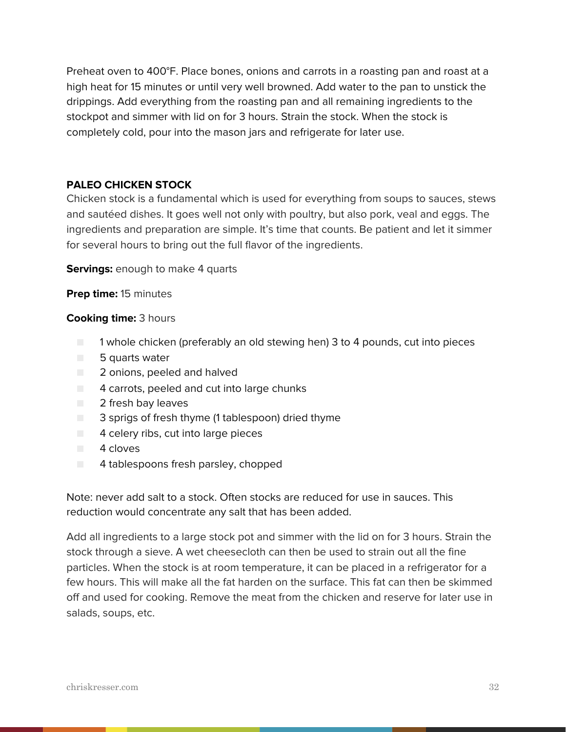Preheat oven to 400°F. Place bones, onions and carrots in a roasting pan and roast at a high heat for 15 minutes or until very well browned. Add water to the pan to unstick the drippings. Add everything from the roasting pan and all remaining ingredients to the stockpot and simmer with lid on for 3 hours. Strain the stock. When the stock is completely cold, pour into the mason jars and refrigerate for later use.

### **PALEO CHICKEN STOCK**

Chicken stock is a fundamental which is used for everything from soups to sauces, stews and sautéed dishes. It goes well not only with poultry, but also pork, veal and eggs. The ingredients and preparation are simple. It's time that counts. Be patient and let it simmer for several hours to bring out the full flavor of the ingredients.

**Servings:** enough to make 4 quarts

**Prep time:** 15 minutes

#### **Cooking time:** 3 hours

- 1 whole chicken (preferably an old stewing hen) 3 to 4 pounds, cut into pieces
- 5 quarts water
- 2 onions, peeled and halved
- 4 carrots, peeled and cut into large chunks
- 2 fresh bay leaves
- 3 sprigs of fresh thyme (1 tablespoon) dried thyme
- 4 celery ribs, cut into large pieces
- 4 cloves
- 4 tablespoons fresh parsley, chopped

Note: never add salt to a stock. Often stocks are reduced for use in sauces. This reduction would concentrate any salt that has been added.

Add all ingredients to a large stock pot and simmer with the lid on for 3 hours. Strain the stock through a sieve. A wet cheesecloth can then be used to strain out all the fine particles. When the stock is at room temperature, it can be placed in a refrigerator for a few hours. This will make all the fat harden on the surface. This fat can then be skimmed off and used for cooking. Remove the meat from the chicken and reserve for later use in salads, soups, etc.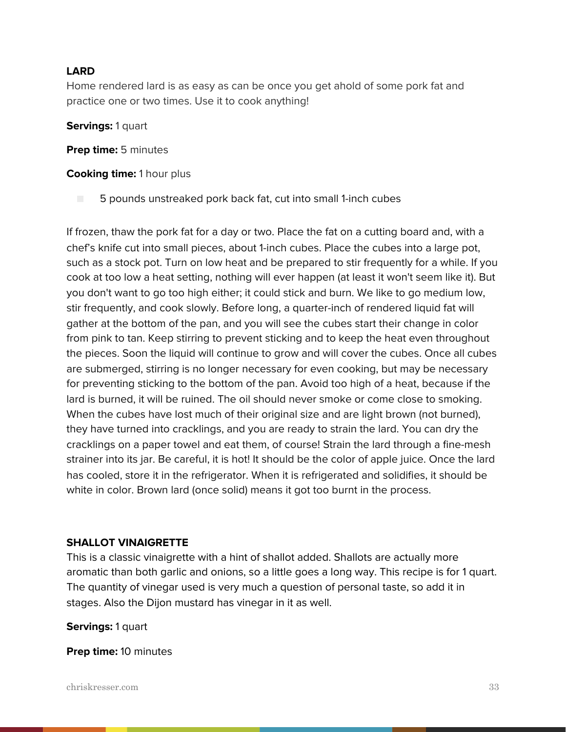### **LARD**

Home rendered lard is as easy as can be once you get ahold of some pork fat and practice one or two times. Use it to cook anything!

**Servings:** 1 quart

**Prep time:** 5 minutes

**Cooking time:** 1 hour plus

■ 5 pounds unstreaked pork back fat, cut into small 1-inch cubes

If frozen, thaw the pork fat for a day or two. Place the fat on a cutting board and, with a chef's knife cut into small pieces, about 1-inch cubes. Place the cubes into a large pot, such as a stock pot. Turn on low heat and be prepared to stir frequently for a while. If you cook at too low a heat setting, nothing will ever happen (at least it won't seem like it). But you don't want to go too high either; it could stick and burn. We like to go medium low, stir frequently, and cook slowly. Before long, a quarter-inch of rendered liquid fat will gather at the bottom of the pan, and you will see the cubes start their change in color from pink to tan. Keep stirring to prevent sticking and to keep the heat even throughout the pieces. Soon the liquid will continue to grow and will cover the cubes. Once all cubes are submerged, stirring is no longer necessary for even cooking, but may be necessary for preventing sticking to the bottom of the pan. Avoid too high of a heat, because if the lard is burned, it will be ruined. The oil should never smoke or come close to smoking. When the cubes have lost much of their original size and are light brown (not burned), they have turned into cracklings, and you are ready to strain the lard. You can dry the cracklings on a paper towel and eat them, of course! Strain the lard through a fine-mesh strainer into its jar. Be careful, it is hot! It should be the color of apple juice. Once the lard has cooled, store it in the refrigerator. When it is refrigerated and solidifies, it should be white in color. Brown lard (once solid) means it got too burnt in the process.

#### **SHALLOT VINAIGRETTE**

This is a classic vinaigrette with a hint of shallot added. Shallots are actually more aromatic than both garlic and onions, so a little goes a long way. This recipe is for 1 quart. The quantity of vinegar used is very much a question of personal taste, so add it in stages. Also the Dijon mustard has vinegar in it as well.

**Servings:** 1 quart

**Prep time:** 10 minutes